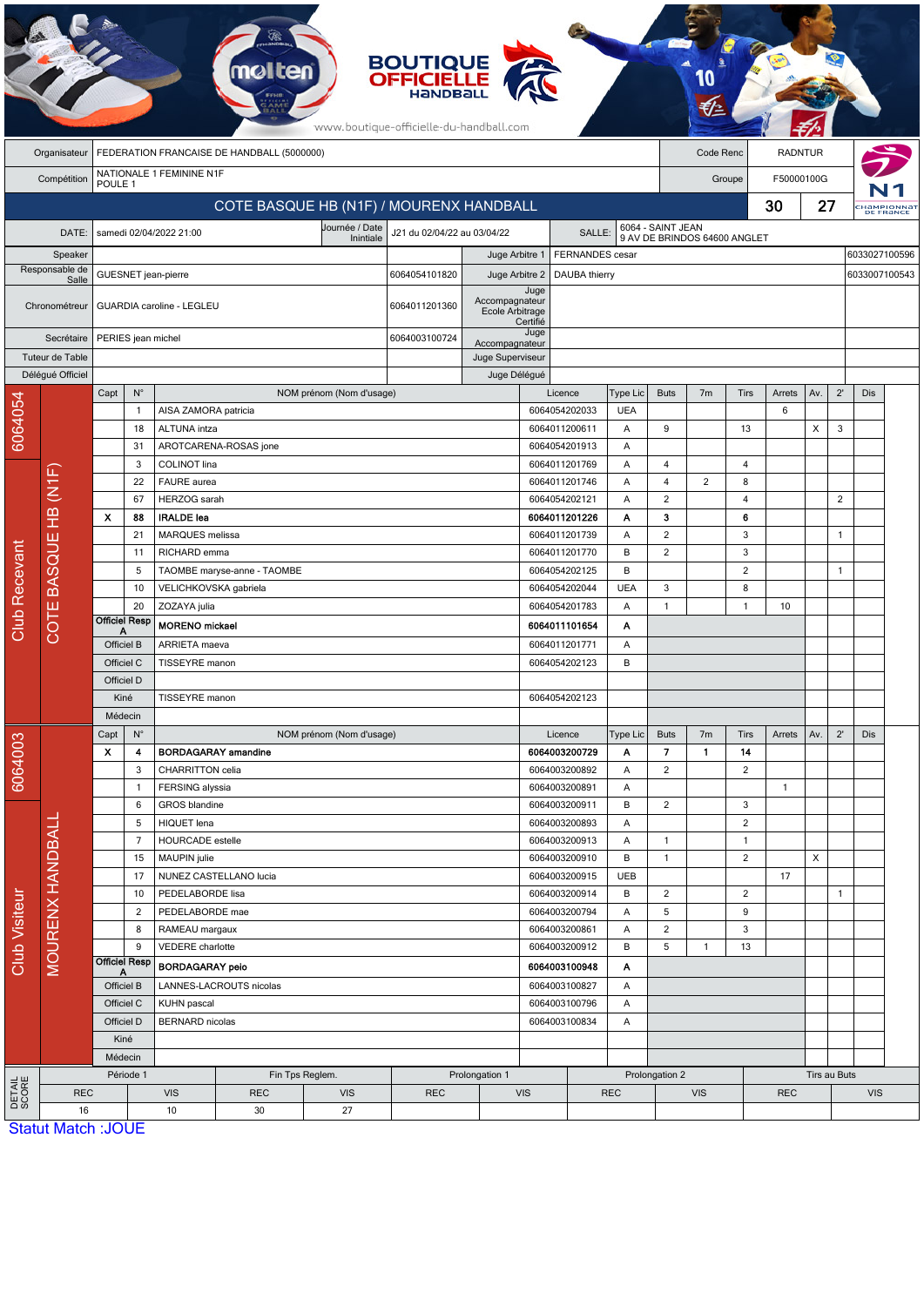|                 |                         |                                 |                      |                                                           |                                            |                          | <b>BOUTIQUE</b><br><b>OFFICIELLE</b><br>HANDBA<br>www.boutique-officielle-du-handball.com |                                   |                                |                                |                        |                          |                              |                     |                |                |                |                                                                    |           |  |
|-----------------|-------------------------|---------------------------------|----------------------|-----------------------------------------------------------|--------------------------------------------|--------------------------|-------------------------------------------------------------------------------------------|-----------------------------------|--------------------------------|--------------------------------|------------------------|--------------------------|------------------------------|---------------------|----------------|----------------|----------------|--------------------------------------------------------------------|-----------|--|
|                 | Organisateur            |                                 |                      |                                                           | FEDERATION FRANCAISE DE HANDBALL (5000000) |                          |                                                                                           |                                   |                                |                                |                        |                          | Code Renc                    |                     | <b>RADNTUR</b> |                |                |                                                                    |           |  |
|                 | Compétition             | POULE 1                         |                      | NATIONALE 1 FEMININE N1F                                  |                                            |                          |                                                                                           |                                   |                                |                                |                        |                          |                              | Groupe              | F50000100G     |                |                |                                                                    |           |  |
|                 |                         |                                 |                      |                                                           | COTE BASQUE HB (N1F) / MOURENX HANDBALL    |                          |                                                                                           |                                   |                                |                                |                        |                          |                              |                     | 30             | 27             |                |                                                                    |           |  |
|                 |                         |                                 |                      |                                                           |                                            | Journée / Date           |                                                                                           |                                   |                                |                                |                        | 6064 - SAINT JEAN        |                              |                     |                |                |                |                                                                    | DE FRANCE |  |
|                 | DATE:                   |                                 |                      | samedi 02/04/2022 21:00                                   |                                            | Inintiale                | J21 du 02/04/22 au 03/04/22                                                               |                                   |                                | <b>SALLE:</b>                  |                        |                          | 9 AV DE BRINDOS 64600 ANGLET |                     |                |                |                |                                                                    |           |  |
|                 | Speaker                 |                                 |                      |                                                           |                                            |                          |                                                                                           | Juge Arbitre 1                    |                                | FERNANDES cesar                |                        |                          |                              |                     |                |                |                |                                                                    |           |  |
|                 | Responsable de<br>Salle |                                 |                      | GUESNET jean-pierre                                       |                                            |                          | 6064054101820                                                                             | Juge Arbitre 2                    |                                | DAUBA thierry                  |                        |                          |                              |                     |                |                |                |                                                                    |           |  |
|                 | Chronométreur           |                                 |                      | GUARDIA caroline - LEGLEU                                 |                                            |                          | 6064011201360                                                                             | Accompagnateur<br>Ecole Arbitrage | Juge<br>Certifié               |                                |                        |                          |                              |                     |                |                |                |                                                                    |           |  |
|                 | Secrétaire              |                                 |                      | PERIES jean michel                                        |                                            |                          | 6064003100724                                                                             | Accompagnateur                    | Juge                           |                                |                        |                          |                              |                     |                |                |                |                                                                    |           |  |
|                 | Tuteur de Table         |                                 |                      |                                                           |                                            |                          |                                                                                           |                                   | Juge Superviseur               |                                |                        |                          |                              |                     |                |                |                |                                                                    |           |  |
|                 | Déléqué Officiel        |                                 |                      |                                                           |                                            |                          |                                                                                           | Juge Délégué                      |                                |                                |                        |                          |                              |                     |                |                |                |                                                                    |           |  |
|                 |                         | Capt                            | $\mathsf{N}^\circ$   |                                                           |                                            | NOM prénom (Nom d'usage) |                                                                                           |                                   |                                | Licence                        | Type Lic<br><b>UEA</b> | <b>Buts</b>              | 7 <sub>m</sub>               | <b>Tirs</b>         | Arrets<br>6    | Av.            | $2^{\prime}$   |                                                                    |           |  |
|                 |                         |                                 | $\mathbf{1}$<br>18   | AISA ZAMORA patricia<br>ALTUNA intza                      |                                            |                          |                                                                                           |                                   |                                | 6064054202033<br>6064011200611 | Α                      | 9                        |                              | 13                  |                | X              | 3              |                                                                    |           |  |
| 6064054         |                         |                                 | 31                   |                                                           | AROTCARENA-ROSAS jone                      |                          |                                                                                           |                                   |                                | 6064054201913                  | Α                      |                          |                              |                     |                |                |                |                                                                    |           |  |
|                 |                         |                                 | 3                    | COLINOT lina                                              |                                            |                          |                                                                                           |                                   |                                | 6064011201769                  | Α                      | 4                        |                              | 4                   |                |                |                |                                                                    |           |  |
|                 | HB (N1F)                |                                 | 22                   | FAURE aurea                                               |                                            |                          |                                                                                           |                                   |                                | 6064011201746                  | Α                      | $\overline{\mathbf{4}}$  | $\overline{c}$               | 8                   |                |                |                |                                                                    |           |  |
|                 |                         |                                 | 67                   | HERZOG sarah                                              |                                            |                          |                                                                                           |                                   |                                | 6064054202121                  | Α                      | $\overline{c}$           |                              | 4                   |                |                | $\overline{c}$ |                                                                    |           |  |
|                 |                         | $\boldsymbol{\mathsf{x}}$<br>88 |                      | <b>IRALDE</b> lea                                         |                                            |                          |                                                                                           |                                   |                                | 6064011201226                  | Α                      | 3                        |                              | 6                   |                |                |                |                                                                    |           |  |
|                 |                         |                                 | 21                   | MARQUES melissa                                           |                                            |                          |                                                                                           |                                   |                                | 6064011201739                  | Α                      | $\overline{c}$           |                              | 3                   |                |                | 1              |                                                                    |           |  |
|                 |                         |                                 | 11                   | RICHARD emma                                              |                                            |                          |                                                                                           |                                   |                                | 6064011201770                  | B                      | $\boldsymbol{2}$         |                              | 3                   |                |                |                |                                                                    |           |  |
|                 |                         |                                 | 5                    |                                                           | TAOMBE maryse-anne - TAOMBE                |                          |                                                                                           |                                   |                                | 6064054202125                  | B                      |                          |                              | $\overline{2}$      |                |                | $\mathbf{1}$   |                                                                    |           |  |
|                 | COTE BASQUE             |                                 | 10<br>20             | VELICHKOVSKA gabriela                                     |                                            |                          |                                                                                           |                                   |                                | 6064054202044                  | <b>UEA</b>             | 3<br>$\mathbf{1}$        |                              | 8<br>$\mathbf{1}$   |                |                |                |                                                                    |           |  |
| Club Recevant   |                         | <b>Officiel Resp</b>            |                      | ZOZAYA julia<br><b>MORENO</b> mickael                     |                                            |                          |                                                                                           |                                   |                                | 6064054201783                  | A                      |                          |                              |                     | 10             |                |                |                                                                    |           |  |
|                 |                         | А<br>Officiel B                 |                      | ARRIETA maeva                                             |                                            |                          |                                                                                           |                                   |                                | 6064011101654                  | Α                      |                          |                              |                     |                |                |                |                                                                    |           |  |
|                 |                         | Officiel C                      |                      | TISSEYRE manon                                            |                                            |                          |                                                                                           |                                   | 6064011201771<br>6064054202123 | Α<br>B                         |                        |                          |                              |                     |                |                |                |                                                                    |           |  |
|                 |                         | Officiel D                      |                      |                                                           |                                            |                          |                                                                                           |                                   |                                |                                |                        |                          |                              |                     |                |                |                |                                                                    |           |  |
|                 |                         | Kiné                            |                      | TISSEYRE manon                                            |                                            |                          |                                                                                           |                                   |                                | 6064054202123                  |                        |                          |                              |                     |                |                |                |                                                                    |           |  |
|                 |                         | Médecin                         |                      |                                                           |                                            |                          |                                                                                           |                                   |                                |                                |                        |                          |                              |                     |                |                |                |                                                                    |           |  |
|                 |                         | Capt                            | $N^{\circ}$          |                                                           |                                            | NOM prénom (Nom d'usage) |                                                                                           |                                   |                                | Licence                        | Type Lic               | <b>Buts</b>              | 7 <sub>m</sub>               | Tirs                | Arrets         | Av.            | $2^{\prime}$   | Dis                                                                |           |  |
| 6064003         |                         | X                               | 4                    |                                                           | <b>BORDAGARAY</b> amandine                 |                          |                                                                                           |                                   |                                | 6064003200729                  | A                      | $\overline{\phantom{a}}$ | 1                            | 14                  |                |                |                |                                                                    |           |  |
|                 |                         |                                 | 3                    | CHARRITTON celia                                          |                                            |                          |                                                                                           |                                   |                                | 6064003200892                  | Α                      | $\overline{2}$           |                              | $\sqrt{2}$          |                |                |                | <b>Намріонна</b> т<br>6033027100596<br>6033007100543<br><b>Dis</b> |           |  |
|                 |                         |                                 | $\mathbf{1}$         | FERSING alyssia                                           |                                            |                          |                                                                                           |                                   |                                | 6064003200891                  | Α                      |                          |                              |                     | $\mathbf{1}$   |                |                |                                                                    |           |  |
|                 |                         |                                 | 6                    | GROS blandine                                             |                                            |                          |                                                                                           |                                   |                                | 6064003200911                  | B                      | $\overline{c}$           |                              | 3                   |                |                |                |                                                                    |           |  |
|                 | <b>MOURENX HANDBALL</b> |                                 | 5<br>$\overline{7}$  | <b>HIQUET</b> lena<br>HOURCADE estelle                    |                                            |                          |                                                                                           |                                   |                                | 6064003200893<br>6064003200913 | Α<br>Α                 | $\mathbf{1}$             |                              | $\overline{c}$<br>1 |                |                |                |                                                                    |           |  |
|                 |                         |                                 | 15                   | MAUPIN julie                                              |                                            |                          |                                                                                           |                                   |                                | 6064003200910                  | B                      | $\mathbf{1}$             |                              | $\overline{c}$      |                | $\pmb{\times}$ |                |                                                                    |           |  |
|                 |                         |                                 | 17                   |                                                           | NUNEZ CASTELLANO lucia                     |                          |                                                                                           |                                   |                                | 6064003200915                  | <b>UEB</b>             |                          |                              |                     | 17             |                |                |                                                                    |           |  |
|                 |                         |                                 | 10                   | PEDELABORDE lisa                                          |                                            |                          |                                                                                           |                                   |                                | 6064003200914                  | B                      | $\overline{c}$           |                              | $\overline{c}$      |                |                | $\mathbf{1}$   |                                                                    |           |  |
|                 |                         |                                 | $\overline{2}$       | PEDELABORDE mae                                           |                                            |                          |                                                                                           |                                   |                                | 6064003200794                  | Α                      | 5                        |                              | 9                   |                |                |                |                                                                    |           |  |
| Club Visiteur   |                         |                                 | 8                    | RAMEAU margaux                                            |                                            |                          |                                                                                           |                                   |                                | 6064003200861                  | Α                      | $\overline{c}$           |                              | $\sqrt{3}$          |                |                |                |                                                                    |           |  |
|                 |                         |                                 | 9                    | VEDERE charlotte                                          |                                            |                          |                                                                                           |                                   | 6064003200912                  |                                | В                      | 5                        | $\mathbf{1}$                 | 13                  |                |                |                |                                                                    |           |  |
|                 |                         |                                 | Officiel Resp        | <b>BORDAGARAY peio</b>                                    |                                            |                          |                                                                                           |                                   | 6064003100948<br>Α             |                                |                        |                          |                              |                     |                |                |                |                                                                    |           |  |
|                 |                         |                                 | Officiel B           |                                                           | LANNES-LACROUTS nicolas                    |                          |                                                                                           |                                   | 6064003100827                  |                                | Α                      |                          |                              |                     |                |                |                |                                                                    |           |  |
|                 |                         |                                 | Officiel C           | KUHN pascal                                               |                                            |                          |                                                                                           |                                   |                                | 6064003100796                  | Α                      |                          |                              |                     |                |                |                |                                                                    |           |  |
|                 |                         |                                 | Officiel D           | <b>BERNARD</b> nicolas                                    |                                            |                          |                                                                                           |                                   |                                | 6064003100834                  | A                      |                          |                              |                     |                |                |                |                                                                    |           |  |
|                 |                         |                                 | Kiné                 |                                                           |                                            |                          |                                                                                           |                                   |                                |                                |                        |                          |                              |                     |                |                |                |                                                                    |           |  |
|                 |                         |                                 | Médecin<br>Période 1 |                                                           |                                            |                          |                                                                                           |                                   |                                |                                |                        | Prolongation 2           |                              | Tirs au Buts        |                |                |                |                                                                    |           |  |
| DETAIL<br>SCORE | <b>REC</b>              |                                 |                      | Fin Tps Reglem.<br><b>VIS</b><br><b>REC</b><br><b>VIS</b> |                                            |                          | Prolongation 1<br><b>REC</b>                                                              |                                   | <b>VIS</b>                     |                                | <b>REC</b>             |                          | <b>VIS</b>                   |                     | <b>REC</b>     |                | <b>VIS</b>     |                                                                    |           |  |
|                 | 16                      |                                 |                      | 10                                                        | 30                                         | 27                       |                                                                                           |                                   |                                |                                |                        |                          |                              |                     |                |                |                |                                                                    |           |  |
|                 | Statut Match : JOUF     |                                 |                      |                                                           |                                            |                          |                                                                                           |                                   |                                |                                |                        |                          |                              |                     |                |                |                |                                                                    |           |  |

**Match JOC**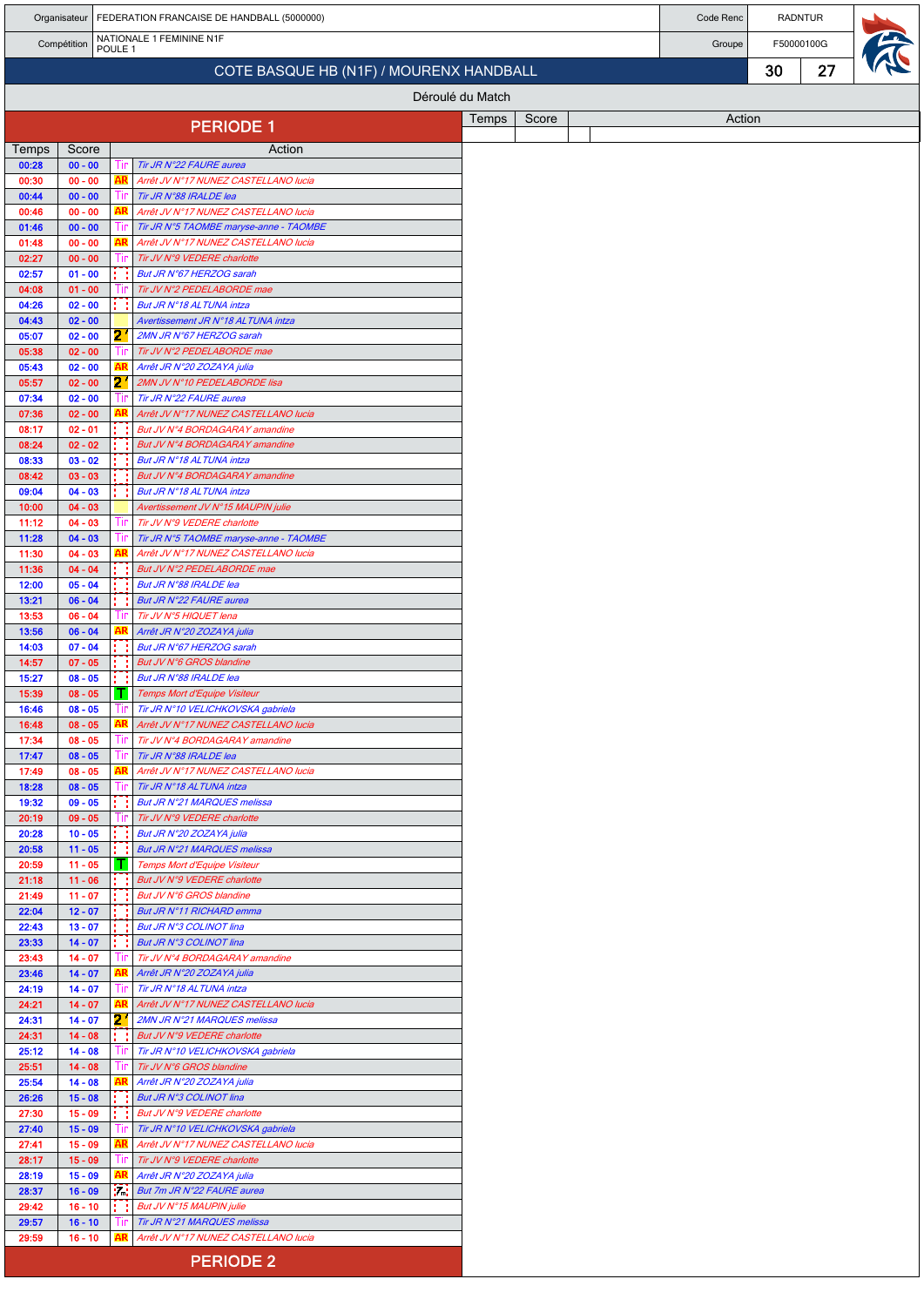|                |                        | Organisateur   FEDERATION FRANCAISE DE HANDBALL (5000000) |            |                                                                                |       |       |  |  | Code Renc |    | <b>RADNTUR</b> |  |
|----------------|------------------------|-----------------------------------------------------------|------------|--------------------------------------------------------------------------------|-------|-------|--|--|-----------|----|----------------|--|
|                | Compétition            | POULE <sub>1</sub>                                        |            | NATIONALE 1 FEMININE N1F                                                       |       |       |  |  | Groupe    |    | F50000100G     |  |
|                |                        |                                                           |            | COTE BASQUE HB (N1F) / MOURENX HANDBALL                                        |       |       |  |  |           | 30 | 27             |  |
|                |                        |                                                           |            | Déroulé du Match                                                               |       |       |  |  |           |    |                |  |
|                |                        |                                                           |            |                                                                                | Temps | Score |  |  | Action    |    |                |  |
|                |                        |                                                           |            | <b>PERIODE 1</b>                                                               |       |       |  |  |           |    |                |  |
| Temps<br>00:28 | Score<br>$00 - 00$     |                                                           | 1ır        | Action<br>Tir JR N°22 FAURE aurea                                              |       |       |  |  |           |    |                |  |
| 00:30          | $00 - 00$              |                                                           | AR         | Arrêt JV N°17 NUNEZ CASTELLANO lucia                                           |       |       |  |  |           |    |                |  |
| 00:44          | $00 - 00$              |                                                           | Tir        | Tir JR N°88 IRALDE lea                                                         |       |       |  |  |           |    |                |  |
| 00:46<br>01:46 | $00 - 00$<br>$00 - 00$ |                                                           | AR<br>-lin | Arrêt JV N°17 NUNEZ CASTELLANO lucia<br>Tir JR N°5 TAOMBE maryse-anne - TAOMBE |       |       |  |  |           |    |                |  |
| 01:48          | $00 - 00$              |                                                           | AR         | Arrêt JV N°17 NUNEZ CASTELLANO lucia                                           |       |       |  |  |           |    |                |  |
| 02:27          | $00 - 00$              |                                                           |            | Tir JV N°9 VEDERE charlotte                                                    |       |       |  |  |           |    |                |  |
| 02:57<br>04:08 | $01 - 00$<br>$01 - 00$ |                                                           | Ш          | But JR N°67 HERZOG sarah<br>Tir JV N°2 PEDELABORDE mae                         |       |       |  |  |           |    |                |  |
| 04:26          | $02 - 00$              |                                                           |            | But JR N°18 AL TUNA intza                                                      |       |       |  |  |           |    |                |  |
| 04:43          | $02 - 00$              |                                                           |            | Avertissement JR N°18 ALTUNA intza                                             |       |       |  |  |           |    |                |  |
| 05:07<br>05:38 | $02 - 00$<br>$02 - 00$ |                                                           | 21<br>-lin | 2MN JR N°67 HERZOG sarah<br>Tir JV N°2 PEDELABORDE mae                         |       |       |  |  |           |    |                |  |
| 05:43          | $02 - 00$              |                                                           |            | Arrêt JR N°20 ZOZAYA julia                                                     |       |       |  |  |           |    |                |  |
| 05:57          | $02 - 00$              |                                                           | 21         | 2MN JV N°10 PEDELABORDE lisa                                                   |       |       |  |  |           |    |                |  |
| 07:34          | $02 - 00$              |                                                           | Ш          | Tir JR N°22 FAURE aurea                                                        |       |       |  |  |           |    |                |  |
| 07:36<br>08:17 | $02 - 00$<br>$02 - 01$ |                                                           | AR         | Arrêt JV N°17 NUNEZ CASTELLANO lucia<br>But JV N°4 BORDAGARAY amandine         |       |       |  |  |           |    |                |  |
| 08:24          | $02 - 02$              |                                                           |            | But JV N°4 BORDAGARAY amandine                                                 |       |       |  |  |           |    |                |  |
| 08:33          | $03 - 02$              |                                                           |            | But JR N°18 AL TUNA intza                                                      |       |       |  |  |           |    |                |  |
| 08:42<br>09:04 | $03 - 03$<br>$04 - 03$ |                                                           |            | But JV N°4 BORDAGARAY amandine<br>But JR N°18 AL TUNA intza                    |       |       |  |  |           |    |                |  |
| 10:00          | $04 - 03$              |                                                           |            | Avertissement JV N°15 MAUPIN julie                                             |       |       |  |  |           |    |                |  |
| 11:12          | $04 - 03$              |                                                           | Tir        | Tir JV N°9 VEDERE charlotte                                                    |       |       |  |  |           |    |                |  |
| 11:28<br>11:30 | $04 - 03$<br>$04 - 03$ |                                                           | Ш<br>AR    | Tir JR N°5 TAOMBE maryse-anne - TAOMBE<br>Arrêt JV N°17 NUNEZ CASTELLANO lucia |       |       |  |  |           |    |                |  |
| 11:36          | $04 - 04$              |                                                           |            | But JV N°2 PEDELABORDE mae                                                     |       |       |  |  |           |    |                |  |
| 12:00          | $05 - 04$              |                                                           |            | But JR N°88 IRALDE lea                                                         |       |       |  |  |           |    |                |  |
| 13:21          | $06 - 04$              |                                                           |            | But JR N°22 FAURE aurea                                                        |       |       |  |  |           |    |                |  |
| 13:53<br>13:56 | $06 - 04$<br>$06 - 04$ |                                                           | Tır        | Tir JV N°5 HIQUET lena<br>Arrêt JR N°20 ZOZAYA julia                           |       |       |  |  |           |    |                |  |
| 14:03          | $07 - 04$              |                                                           |            | But JR N°67 HERZOG sarah                                                       |       |       |  |  |           |    |                |  |
| 14:57          | $07 - 05$              |                                                           | . .        | But JV N°6 GROS blandine                                                       |       |       |  |  |           |    |                |  |
| 15:27<br>15:39 | $08 - 05$<br>$08 - 05$ |                                                           | п          | But JR N°88 IRALDE lea<br>Temps Mort d'Equipe Visiteur                         |       |       |  |  |           |    |                |  |
| 16:46          | $08 - 05$              |                                                           |            | Tir JR N°10 VELICHKOVSKA gabriela                                              |       |       |  |  |           |    |                |  |
| 16:48          | $08 - 05$              |                                                           | AR         | Arrêt JV N°17 NUNEZ CASTELLANO lucia                                           |       |       |  |  |           |    |                |  |
| 17:34<br>17:47 | $08 - 05$<br>$08 - 05$ |                                                           | ШP<br>Tir  | Tir JV N°4 BORDAGARAY amandine<br>Tir JR N°88 IRALDE lea                       |       |       |  |  |           |    |                |  |
| 17:49          | $08 - 05$              |                                                           | AR         | Arrêt JV N°17 NUNEZ CASTELLANO lucia                                           |       |       |  |  |           |    |                |  |
| 18:28          | $08 - 05$              |                                                           |            | Tir JR N°18 AL TUNA intza                                                      |       |       |  |  |           |    |                |  |
| 19:32<br>20:19 | $09 - 05$<br>$09 - 05$ |                                                           | -lin       | But JR N°21 MARQUES melissa<br>Tir JV N°9 VEDERE charlotte                     |       |       |  |  |           |    |                |  |
| 20:28          | $10 - 05$              |                                                           |            | But JR N°20 ZOZAYA julia                                                       |       |       |  |  |           |    |                |  |
| 20:58          | $11 - 05$              |                                                           |            | <b>But JR N°21 MARQUES melissa</b>                                             |       |       |  |  |           |    |                |  |
| 20:59<br>21:18 | $11 - 05$<br>$11 - 06$ |                                                           | H.         | Temps Mort d'Equipe Visiteur<br>But JV N°9 VEDERE charlotte                    |       |       |  |  |           |    |                |  |
| 21:49          | $11 - 07$              |                                                           |            | But JV N°6 GROS blandine                                                       |       |       |  |  |           |    |                |  |
| 22:04          | $12 - 07$              |                                                           |            | But JR N°11 RICHARD emma                                                       |       |       |  |  |           |    |                |  |
| 22:43<br>23:33 | $13 - 07$<br>$14 - 07$ |                                                           |            | But JR N°3 COLINOT lina<br>But JR N°3 COLINOT lina                             |       |       |  |  |           |    |                |  |
| 23:43          | $14 - 07$              |                                                           | -lir       | Tir JV N°4 BORDAGARAY amandine                                                 |       |       |  |  |           |    |                |  |
| 23:46          | $14 - 07$              |                                                           |            | Arrêt JR N°20 ZOZAYA julia                                                     |       |       |  |  |           |    |                |  |
| 24:19<br>24:21 | $14 - 07$<br>$14 - 07$ |                                                           | ШP<br>AR   | Tir JR N°18 ALTUNA intza<br>Arrêt JV N°17 NUNEZ CASTELLANO lucia               |       |       |  |  |           |    |                |  |
| 24:31          | $14 - 07$              |                                                           | 21         | 2MN JR N°21 MARQUES melissa                                                    |       |       |  |  |           |    |                |  |
| 24:31          | $14 - 08$              |                                                           |            | But JV N°9 VEDERE charlotte                                                    |       |       |  |  |           |    |                |  |
| 25:12<br>25:51 | $14 - 08$<br>$14 - 08$ |                                                           | -lin       | Tir JR N°10 VELICHKOVSKA gabriela<br>Tir JV N°6 GROS blandine                  |       |       |  |  |           |    |                |  |
| 25:54          | $14 - 08$              |                                                           | AR         | Arrêt JR N°20 ZOZAYA julia                                                     |       |       |  |  |           |    |                |  |
| 26:26          | $15 - 08$              |                                                           |            | But JR N°3 COLINOT lina                                                        |       |       |  |  |           |    |                |  |
| 27:30          | $15 - 09$              |                                                           |            | But JV N°9 VEDERE charlotte                                                    |       |       |  |  |           |    |                |  |
| 27:40<br>27:41 | $15 - 09$<br>$15 - 09$ |                                                           | AR         | Tir JR N°10 VELICHKOVSKA gabriela<br>Arrêt JV N°17 NUNEZ CASTELLANO lucia      |       |       |  |  |           |    |                |  |
| 28:17          | $15 - 09$              |                                                           | Ш          | Tir JV N°9 VEDERE charlotte                                                    |       |       |  |  |           |    |                |  |
| 28:19          | $15 - 09$              |                                                           | АR,        | Arrêt JR N°20 ZOZAYA julia                                                     |       |       |  |  |           |    |                |  |
| 28:37<br>29:42 | $16 - 09$<br>$16 - 10$ |                                                           | i di       | But 7m JR N°22 FAURE aurea<br>But JV N°15 MAUPIN julie                         |       |       |  |  |           |    |                |  |
| 29:57          | $16 - 10$              |                                                           | . I IF     | Tir JR N°21 MARQUES melissa                                                    |       |       |  |  |           |    |                |  |
| 29:59          | $16 - 10$              |                                                           |            | Arrêt JV N°17 NUNEZ CASTELLANO lucia                                           |       |       |  |  |           |    |                |  |
|                |                        |                                                           |            | <b>PERIODE 2</b>                                                               |       |       |  |  |           |    |                |  |